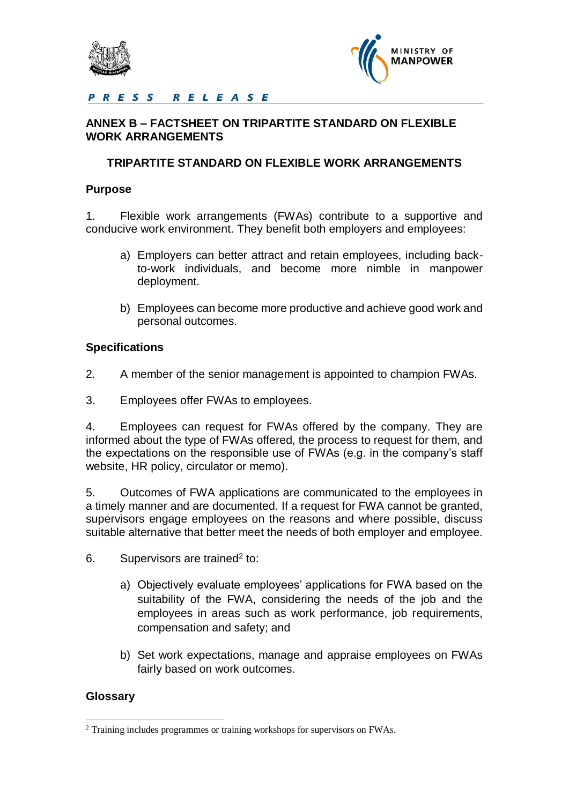



# PRESS RELEASE

# **ANNEX B – FACTSHEET ON TRIPARTITE STANDARD ON FLEXIBLE WORK ARRANGEMENTS**

## **TRIPARTITE STANDARD ON FLEXIBLE WORK ARRANGEMENTS**

### **Purpose**

1. Flexible work arrangements (FWAs) contribute to a supportive and conducive work environment. They benefit both employers and employees:

- a) Employers can better attract and retain employees, including backto-work individuals, and become more nimble in manpower deployment.
- b) Employees can become more productive and achieve good work and personal outcomes.

## **Specifications**

- 2. A member of the senior management is appointed to champion FWAs.
- 3. Employees offer FWAs to employees.

4. Employees can request for FWAs offered by the company. They are informed about the type of FWAs offered, the process to request for them, and the expectations on the responsible use of FWAs (e.g. in the company's staff website, HR policy, circulator or memo).

5. Outcomes of FWA applications are communicated to the employees in a timely manner and are documented. If a request for FWA cannot be granted, supervisors engage employees on the reasons and where possible, discuss suitable alternative that better meet the needs of both employer and employee.

- 6. Supervisors are trained<sup>2</sup> to:
	- a) Objectively evaluate employees' applications for FWA based on the suitability of the FWA, considering the needs of the job and the employees in areas such as work performance, job requirements, compensation and safety; and
	- b) Set work expectations, manage and appraise employees on FWAs fairly based on work outcomes.

# **Glossary**

 $\overline{a}$ 

<sup>&</sup>lt;sup>2</sup> Training includes programmes or training workshops for supervisors on FWAs.